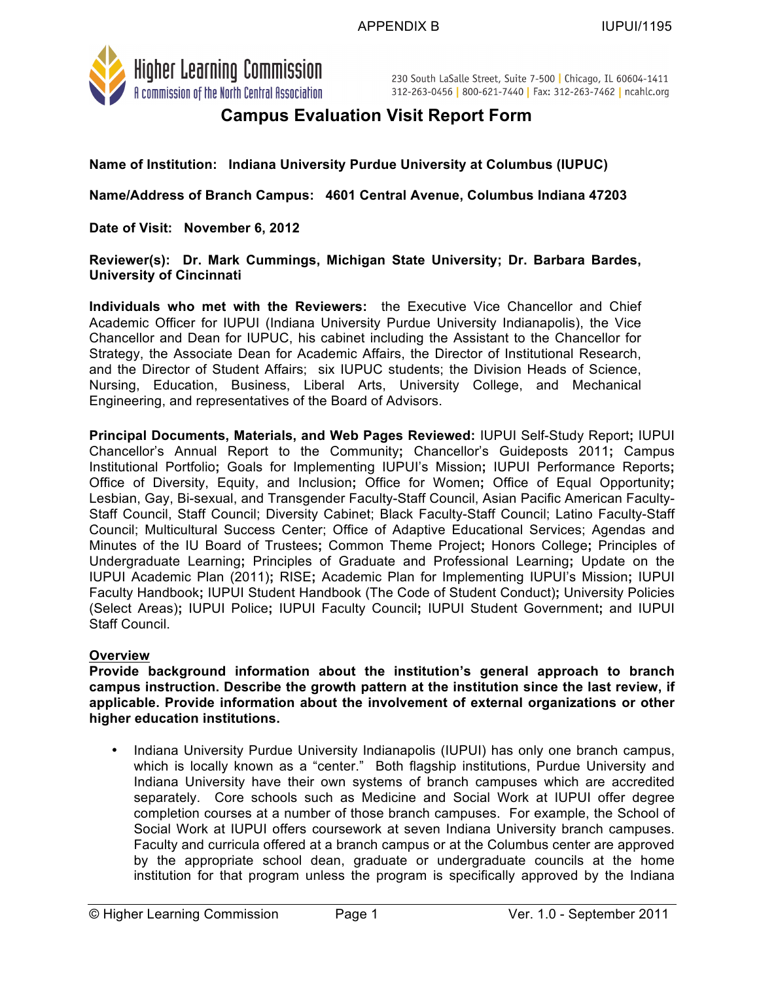

230 South LaSalle Street, Suite 7-500 | Chicago, IL 60604-1411 312-263-0456 | 800-621-7440 | Fax: 312-263-7462 | ncahlc.org

# **Campus Evaluation Visit Report Form**

**Name of Institution: Indiana University Purdue University at Columbus (IUPUC)**

**Name/Address of Branch Campus: 4601 Central Avenue, Columbus Indiana 47203**

**Date of Visit: November 6, 2012**

**Reviewer(s): Dr. Mark Cummings, Michigan State University; Dr. Barbara Bardes, University of Cincinnati**

**Individuals who met with the Reviewers:** the Executive Vice Chancellor and Chief Academic Officer for IUPUI (Indiana University Purdue University Indianapolis), the Vice Chancellor and Dean for IUPUC, his cabinet including the Assistant to the Chancellor for Strategy, the Associate Dean for Academic Affairs, the Director of Institutional Research, and the Director of Student Affairs; six IUPUC students; the Division Heads of Science, Nursing, Education, Business, Liberal Arts, University College, and Mechanical Engineering, and representatives of the Board of Advisors.

**Principal Documents, Materials, and Web Pages Reviewed:** IUPUI Self-Study Report**;** IUPUI Chancellor's Annual Report to the Community**;** Chancellor's Guideposts 2011**;** Campus Institutional Portfolio**;** Goals for Implementing IUPUI's Mission**;** IUPUI Performance Reports**;** Office of Diversity, Equity, and Inclusion**;** Office for Women**;** Office of Equal Opportunity**;** Lesbian, Gay, Bi-sexual, and Transgender Faculty-Staff Council, Asian Pacific American Faculty-Staff Council, Staff Council; Diversity Cabinet; Black Faculty-Staff Council; Latino Faculty-Staff Council; Multicultural Success Center; Office of Adaptive Educational Services; Agendas and Minutes of the IU Board of Trustees**;** Common Theme Project**;** Honors College**;** Principles of Undergraduate Learning**;** Principles of Graduate and Professional Learning**;** Update on the IUPUI Academic Plan (2011)**;** RISE**;** Academic Plan for Implementing IUPUI's Mission**;** IUPUI Faculty Handbook**;** IUPUI Student Handbook (The Code of Student Conduct)**;** University Policies (Select Areas)**;** IUPUI Police**;** IUPUI Faculty Council**;** IUPUI Student Government**;** and IUPUI Staff Council.

#### **Overview**

**Provide background information about the institution's general approach to branch campus instruction. Describe the growth pattern at the institution since the last review, if applicable. Provide information about the involvement of external organizations or other higher education institutions.** 

• Indiana University Purdue University Indianapolis (IUPUI) has only one branch campus, which is locally known as a "center." Both flagship institutions, Purdue University and Indiana University have their own systems of branch campuses which are accredited separately. Core schools such as Medicine and Social Work at IUPUI offer degree completion courses at a number of those branch campuses. For example, the School of Social Work at IUPUI offers coursework at seven Indiana University branch campuses. Faculty and curricula offered at a branch campus or at the Columbus center are approved by the appropriate school dean, graduate or undergraduate councils at the home institution for that program unless the program is specifically approved by the Indiana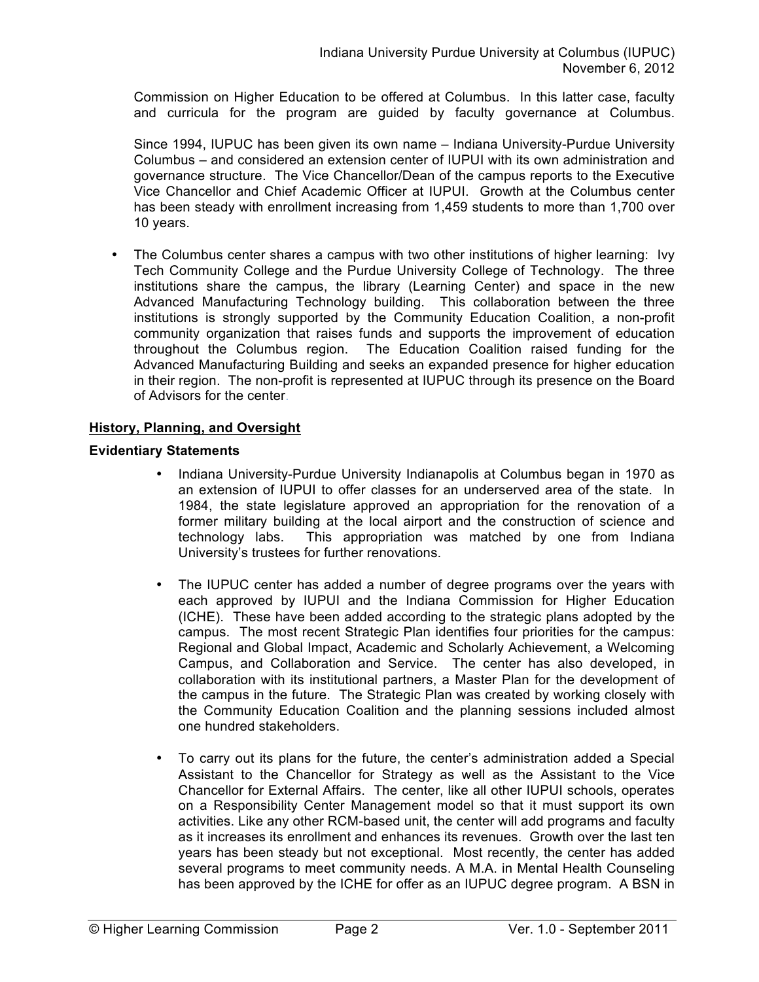Commission on Higher Education to be offered at Columbus. In this latter case, faculty and curricula for the program are guided by faculty governance at Columbus.

Since 1994, IUPUC has been given its own name – Indiana University-Purdue University Columbus – and considered an extension center of IUPUI with its own administration and governance structure. The Vice Chancellor/Dean of the campus reports to the Executive Vice Chancellor and Chief Academic Officer at IUPUI. Growth at the Columbus center has been steady with enrollment increasing from 1,459 students to more than 1,700 over 10 years.

• The Columbus center shares a campus with two other institutions of higher learning: Ivy Tech Community College and the Purdue University College of Technology. The three institutions share the campus, the library (Learning Center) and space in the new Advanced Manufacturing Technology building. This collaboration between the three institutions is strongly supported by the Community Education Coalition, a non-profit community organization that raises funds and supports the improvement of education throughout the Columbus region. The Education Coalition raised funding for the Advanced Manufacturing Building and seeks an expanded presence for higher education in their region. The non-profit is represented at IUPUC through its presence on the Board of Advisors for the center.

## **History, Planning, and Oversight**

## **Evidentiary Statements**

- Indiana University-Purdue University Indianapolis at Columbus began in 1970 as an extension of IUPUI to offer classes for an underserved area of the state. In 1984, the state legislature approved an appropriation for the renovation of a former military building at the local airport and the construction of science and technology labs. This appropriation was matched by one from Indiana University's trustees for further renovations.
- The IUPUC center has added a number of degree programs over the years with each approved by IUPUI and the Indiana Commission for Higher Education (ICHE). These have been added according to the strategic plans adopted by the campus. The most recent Strategic Plan identifies four priorities for the campus: Regional and Global Impact, Academic and Scholarly Achievement, a Welcoming Campus, and Collaboration and Service. The center has also developed, in collaboration with its institutional partners, a Master Plan for the development of the campus in the future. The Strategic Plan was created by working closely with the Community Education Coalition and the planning sessions included almost one hundred stakeholders.
- To carry out its plans for the future, the center's administration added a Special Assistant to the Chancellor for Strategy as well as the Assistant to the Vice Chancellor for External Affairs. The center, like all other IUPUI schools, operates on a Responsibility Center Management model so that it must support its own activities. Like any other RCM-based unit, the center will add programs and faculty as it increases its enrollment and enhances its revenues. Growth over the last ten years has been steady but not exceptional. Most recently, the center has added several programs to meet community needs. A M.A. in Mental Health Counseling has been approved by the ICHE for offer as an IUPUC degree program. A BSN in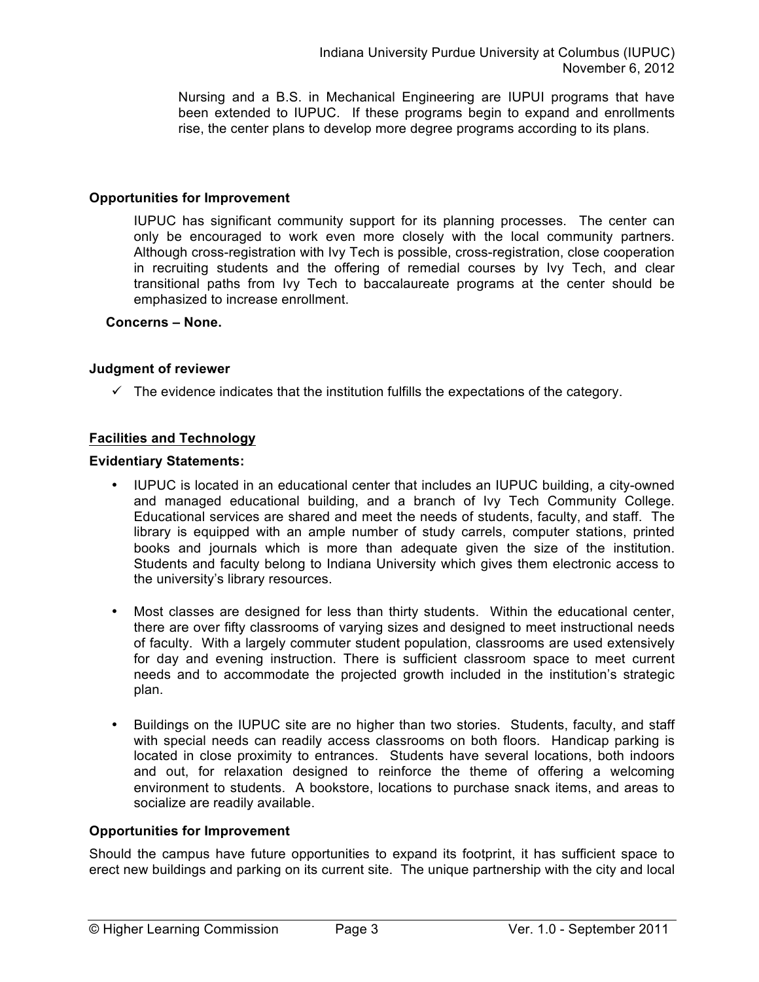Nursing and a B.S. in Mechanical Engineering are IUPUI programs that have been extended to IUPUC. If these programs begin to expand and enrollments rise, the center plans to develop more degree programs according to its plans.

#### **Opportunities for Improvement**

IUPUC has significant community support for its planning processes. The center can only be encouraged to work even more closely with the local community partners. Although cross-registration with Ivy Tech is possible, cross-registration, close cooperation in recruiting students and the offering of remedial courses by Ivy Tech, and clear transitional paths from Ivy Tech to baccalaureate programs at the center should be emphasized to increase enrollment.

#### **Concerns – None.**

#### **Judgment of reviewer**

 $\checkmark$  The evidence indicates that the institution fulfills the expectations of the category.

### **Facilities and Technology**

#### **Evidentiary Statements:**

- IUPUC is located in an educational center that includes an IUPUC building, a city-owned and managed educational building, and a branch of Ivy Tech Community College. Educational services are shared and meet the needs of students, faculty, and staff. The library is equipped with an ample number of study carrels, computer stations, printed books and journals which is more than adequate given the size of the institution. Students and faculty belong to Indiana University which gives them electronic access to the university's library resources.
- Most classes are designed for less than thirty students. Within the educational center, there are over fifty classrooms of varying sizes and designed to meet instructional needs of faculty. With a largely commuter student population, classrooms are used extensively for day and evening instruction. There is sufficient classroom space to meet current needs and to accommodate the projected growth included in the institution's strategic plan.
- Buildings on the IUPUC site are no higher than two stories. Students, faculty, and staff with special needs can readily access classrooms on both floors. Handicap parking is located in close proximity to entrances. Students have several locations, both indoors and out, for relaxation designed to reinforce the theme of offering a welcoming environment to students. A bookstore, locations to purchase snack items, and areas to socialize are readily available.

### **Opportunities for Improvement**

Should the campus have future opportunities to expand its footprint, it has sufficient space to erect new buildings and parking on its current site. The unique partnership with the city and local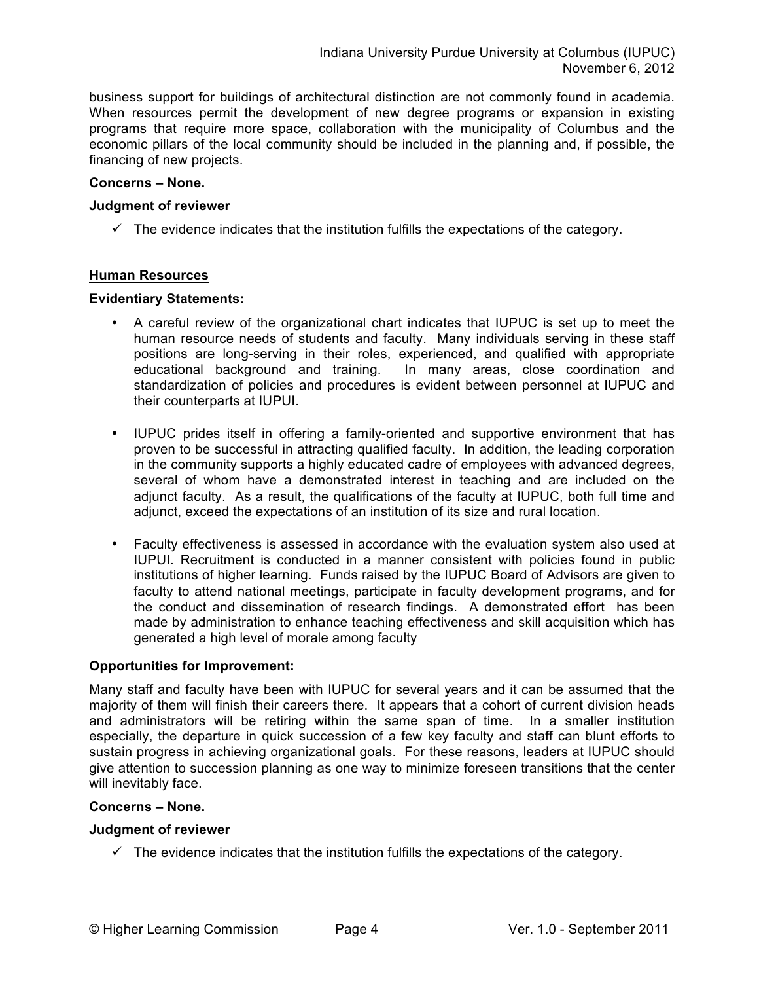business support for buildings of architectural distinction are not commonly found in academia. When resources permit the development of new degree programs or expansion in existing programs that require more space, collaboration with the municipality of Columbus and the economic pillars of the local community should be included in the planning and, if possible, the financing of new projects.

#### **Concerns – None.**

#### **Judgment of reviewer**

 $\checkmark$  The evidence indicates that the institution fulfills the expectations of the category.

#### **Human Resources**

#### **Evidentiary Statements:**

- A careful review of the organizational chart indicates that IUPUC is set up to meet the human resource needs of students and faculty. Many individuals serving in these staff positions are long-serving in their roles, experienced, and qualified with appropriate educational background and training. In many areas, close coordination and standardization of policies and procedures is evident between personnel at IUPUC and their counterparts at IUPUI.
- IUPUC prides itself in offering a family-oriented and supportive environment that has proven to be successful in attracting qualified faculty. In addition, the leading corporation in the community supports a highly educated cadre of employees with advanced degrees, several of whom have a demonstrated interest in teaching and are included on the adjunct faculty. As a result, the qualifications of the faculty at IUPUC, both full time and adjunct, exceed the expectations of an institution of its size and rural location.
- Faculty effectiveness is assessed in accordance with the evaluation system also used at IUPUI. Recruitment is conducted in a manner consistent with policies found in public institutions of higher learning. Funds raised by the IUPUC Board of Advisors are given to faculty to attend national meetings, participate in faculty development programs, and for the conduct and dissemination of research findings. A demonstrated effort has been made by administration to enhance teaching effectiveness and skill acquisition which has generated a high level of morale among faculty

#### **Opportunities for Improvement:**

Many staff and faculty have been with IUPUC for several years and it can be assumed that the majority of them will finish their careers there. It appears that a cohort of current division heads and administrators will be retiring within the same span of time. In a smaller institution especially, the departure in quick succession of a few key faculty and staff can blunt efforts to sustain progress in achieving organizational goals. For these reasons, leaders at IUPUC should give attention to succession planning as one way to minimize foreseen transitions that the center will inevitably face.

#### **Concerns – None.**

#### **Judgment of reviewer**

 $\checkmark$  The evidence indicates that the institution fulfills the expectations of the category.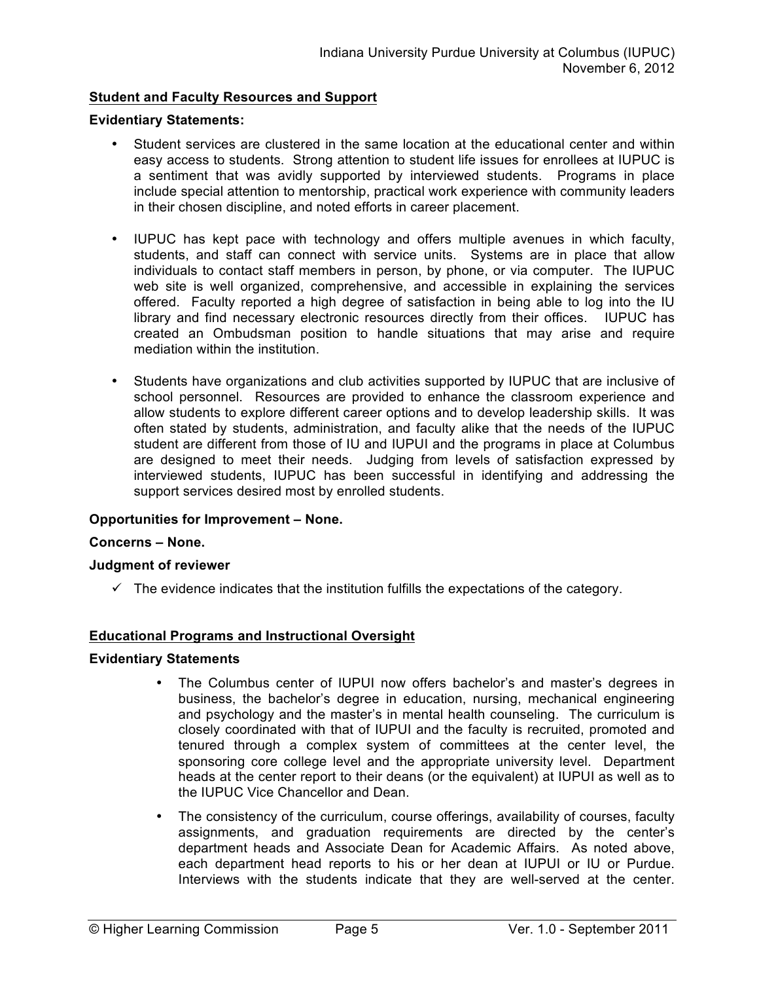## **Student and Faculty Resources and Support**

#### **Evidentiary Statements:**

- Student services are clustered in the same location at the educational center and within easy access to students. Strong attention to student life issues for enrollees at IUPUC is a sentiment that was avidly supported by interviewed students. Programs in place include special attention to mentorship, practical work experience with community leaders in their chosen discipline, and noted efforts in career placement.
- IUPUC has kept pace with technology and offers multiple avenues in which faculty, students, and staff can connect with service units. Systems are in place that allow individuals to contact staff members in person, by phone, or via computer. The IUPUC web site is well organized, comprehensive, and accessible in explaining the services offered. Faculty reported a high degree of satisfaction in being able to log into the IU library and find necessary electronic resources directly from their offices. IUPUC has created an Ombudsman position to handle situations that may arise and require mediation within the institution.
- Students have organizations and club activities supported by IUPUC that are inclusive of school personnel. Resources are provided to enhance the classroom experience and allow students to explore different career options and to develop leadership skills. It was often stated by students, administration, and faculty alike that the needs of the IUPUC student are different from those of IU and IUPUI and the programs in place at Columbus are designed to meet their needs. Judging from levels of satisfaction expressed by interviewed students, IUPUC has been successful in identifying and addressing the support services desired most by enrolled students.

#### **Opportunities for Improvement – None.**

#### **Concerns – None.**

#### **Judgment of reviewer**

 $\checkmark$  The evidence indicates that the institution fulfills the expectations of the category.

#### **Educational Programs and Instructional Oversight**

#### **Evidentiary Statements**

- The Columbus center of IUPUI now offers bachelor's and master's degrees in business, the bachelor's degree in education, nursing, mechanical engineering and psychology and the master's in mental health counseling. The curriculum is closely coordinated with that of IUPUI and the faculty is recruited, promoted and tenured through a complex system of committees at the center level, the sponsoring core college level and the appropriate university level. Department heads at the center report to their deans (or the equivalent) at IUPUI as well as to the IUPUC Vice Chancellor and Dean.
- The consistency of the curriculum, course offerings, availability of courses, faculty assignments, and graduation requirements are directed by the center's department heads and Associate Dean for Academic Affairs. As noted above, each department head reports to his or her dean at IUPUI or IU or Purdue. Interviews with the students indicate that they are well-served at the center.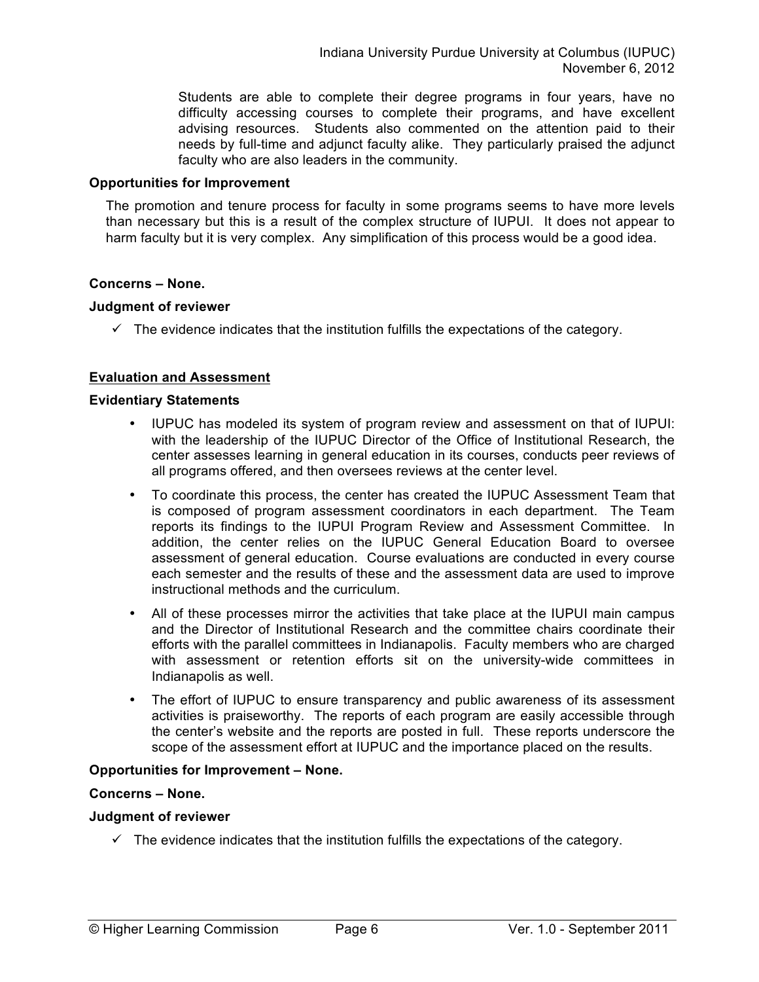Students are able to complete their degree programs in four years, have no difficulty accessing courses to complete their programs, and have excellent advising resources. Students also commented on the attention paid to their needs by full-time and adjunct faculty alike. They particularly praised the adjunct faculty who are also leaders in the community.

#### **Opportunities for Improvement**

The promotion and tenure process for faculty in some programs seems to have more levels than necessary but this is a result of the complex structure of IUPUI. It does not appear to harm faculty but it is very complex. Any simplification of this process would be a good idea.

#### **Concerns – None.**

#### **Judgment of reviewer**

 $\checkmark$  The evidence indicates that the institution fulfills the expectations of the category.

### **Evaluation and Assessment**

#### **Evidentiary Statements**

- IUPUC has modeled its system of program review and assessment on that of IUPUI: with the leadership of the IUPUC Director of the Office of Institutional Research, the center assesses learning in general education in its courses, conducts peer reviews of all programs offered, and then oversees reviews at the center level.
- To coordinate this process, the center has created the IUPUC Assessment Team that is composed of program assessment coordinators in each department. The Team reports its findings to the IUPUI Program Review and Assessment Committee. In addition, the center relies on the IUPUC General Education Board to oversee assessment of general education. Course evaluations are conducted in every course each semester and the results of these and the assessment data are used to improve instructional methods and the curriculum.
- All of these processes mirror the activities that take place at the IUPUI main campus and the Director of Institutional Research and the committee chairs coordinate their efforts with the parallel committees in Indianapolis. Faculty members who are charged with assessment or retention efforts sit on the university-wide committees in Indianapolis as well.
- The effort of IUPUC to ensure transparency and public awareness of its assessment activities is praiseworthy. The reports of each program are easily accessible through the center's website and the reports are posted in full. These reports underscore the scope of the assessment effort at IUPUC and the importance placed on the results.

### **Opportunities for Improvement – None.**

#### **Concerns – None.**

#### **Judgment of reviewer**

 $\checkmark$  The evidence indicates that the institution fulfills the expectations of the category.